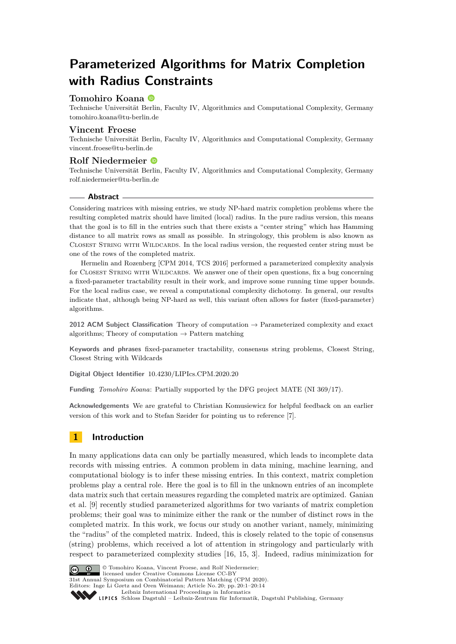# **Parameterized Algorithms for Matrix Completion with Radius Constraints**

# **Tomohiro Koana**

Technische Universität Berlin, Faculty IV, Algorithmics and Computational Complexity, Germany [tomohiro.koana@tu-berlin.de](mailto:tomohiro.koana@tu-berlin.de)

## **Vincent Froese**

Technische Universität Berlin, Faculty IV, Algorithmics and Computational Complexity, Germany [vincent.froese@tu-berlin.de](mailto:vincent.froese@tu-berlin.de)

## **Rolf Niedermeier**

Technische Universität Berlin, Faculty IV, Algorithmics and Computational Complexity, Germany [rolf.niedermeier@tu-berlin.de](mailto:rolf.niedermeier@tu-berlin.de)

#### **Abstract**

Considering matrices with missing entries, we study NP-hard matrix completion problems where the resulting completed matrix should have limited (local) radius. In the pure radius version, this means that the goal is to fill in the entries such that there exists a "center string" which has Hamming distance to all matrix rows as small as possible. In stringology, this problem is also known as CLOSEST STRING WITH WILDCARDS. In the local radius version, the requested center string must be one of the rows of the completed matrix.

Hermelin and Rozenberg [CPM 2014, TCS 2016] performed a parameterized complexity analysis for CLOSEST STRING WITH WILDCARDS. We answer one of their open questions, fix a bug concerning a fixed-parameter tractability result in their work, and improve some running time upper bounds. For the local radius case, we reveal a computational complexity dichotomy. In general, our results indicate that, although being NP-hard as well, this variant often allows for faster (fixed-parameter) algorithms.

**2012 ACM Subject Classification** Theory of computation → Parameterized complexity and exact algorithms; Theory of computation  $\rightarrow$  Pattern matching

**Keywords and phrases** fixed-parameter tractability, consensus string problems, Closest String, Closest String with Wildcards

**Digital Object Identifier** [10.4230/LIPIcs.CPM.2020.20](https://doi.org/10.4230/LIPIcs.CPM.2020.20)

**Funding** *Tomohiro Koana*: Partially supported by the DFG project MATE (NI 369/17).

**Acknowledgements** We are grateful to Christian Komusiewicz for helpful feedback on an earlier version of this work and to Stefan Szeider for pointing us to reference [\[7\]](#page-12-0).

# **1 Introduction**

In many applications data can only be partially measured, which leads to incomplete data records with missing entries. A common problem in data mining, machine learning, and computational biology is to infer these missing entries. In this context, matrix completion problems play a central role. Here the goal is to fill in the unknown entries of an incomplete data matrix such that certain measures regarding the completed matrix are optimized. Ganian et al. [\[9\]](#page-12-1) recently studied parameterized algorithms for two variants of matrix completion problems; their goal was to minimize either the rank or the number of distinct rows in the completed matrix. In this work, we focus our study on another variant, namely, minimizing the "radius" of the completed matrix. Indeed, this is closely related to the topic of consensus (string) problems, which received a lot of attention in stringology and particularly with respect to parameterized complexity studies [\[16,](#page-13-0) [15,](#page-13-1) [3\]](#page-12-2). Indeed, radius minimization for



© Tomohiro Koana, Vincent Froese, and Rolf Niedermeier; licensed under Creative Commons License CC-BY

31st Annual Symposium on Combinatorial Pattern Matching (CPM 2020).

Editors: Inge Li Gørtz and Oren Weimann; Article No. 20; pp. 20:1–20[:14](#page-13-2)

[Leibniz International Proceedings in Informatics](https://www.dagstuhl.de/lipics/) Leibniz international Floretungs in missimosische Publishing, Germany<br>LIPICS [Schloss Dagstuhl – Leibniz-Zentrum für Informatik, Dagstuhl Publishing, Germany](https://www.dagstuhl.de)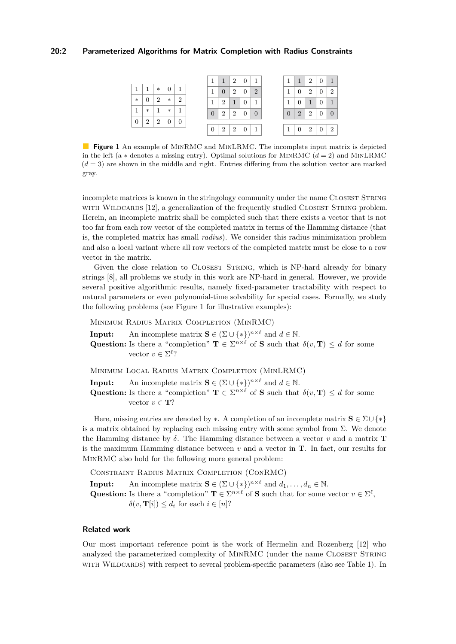## <span id="page-1-0"></span>**20:2 Parameterized Algorithms for Matrix Completion with Radius Constraints**

|          |                |                    |                |                | 1.             |                         | $1\vert 2\vert$   | $+$ 0 <sup><math>+</math></sup> |                  |
|----------|----------------|--------------------|----------------|----------------|----------------|-------------------------|-------------------|---------------------------------|------------------|
|          | - 1 -          | $\rightarrow \ast$ | $\overline{0}$ |                | $\mathbf{1}$   | $\overline{0}$          | 2                 | $+0$                            | $\mathcal{D}$    |
| $\ast$   | 0              | 2                  | $\ast$         | $\mathcal{D}$  | 1.             | $^{\circ}$ 2 $^{\circ}$ | $\left(1\right)$  | $\overline{0}$                  |                  |
| 1        | $\ast$         | $\mathbf{1}$       | $\ast$         |                | $\overline{0}$ | $\overline{2}$          | $2 \mid 0$        |                                 | $\left( \right)$ |
| $\Omega$ | 2 <sub>1</sub> |                    | $2 \mid 0$     | $\overline{0}$ |                |                         |                   |                                 |                  |
|          |                |                    |                |                | $\overline{0}$ | 2 <sup>1</sup>          | $+2$ <sup>+</sup> | $\overline{0}$                  | -1               |

**Figure 1** An example of MinRMC and MinLRMC. The incomplete input matrix is depicted in the left (a  $*$  denotes a missing entry). Optimal solutions for MINRMC ( $d = 2$ ) and MINLRMC  $(d = 3)$  are shown in the middle and right. Entries differing from the solution vector are marked gray.

incomplete matrices is known in the stringology community under the name CLOSEST STRING with WILDCARDS [\[12\]](#page-12-3), a generalization of the frequently studied CLOSEST STRING problem. Herein, an incomplete matrix shall be completed such that there exists a vector that is not too far from each row vector of the completed matrix in terms of the Hamming distance (that is, the completed matrix has small *radius*). We consider this radius minimization problem and also a local variant where all row vectors of the completed matrix must be close to a row vector in the matrix.

Given the close relation to CLOSEST STRING, which is NP-hard already for binary strings [\[8\]](#page-12-4), all problems we study in this work are NP-hard in general. However, we provide several positive algorithmic results, namely fixed-parameter tractability with respect to natural parameters or even polynomial-time solvability for special cases. Formally, we study the following problems (see Figure [1](#page-1-0) for illustrative examples):

Minimum Radius Matrix Completion (MinRMC)

**Input:** An incomplete matrix  $\mathbf{S} \in (\Sigma \cup \{*\})^{n \times \ell}$  and  $d \in \mathbb{N}$ .

**Question:** Is there a "completion"  $\mathbf{T} \in \Sigma^{n \times \ell}$  of **S** such that  $\delta(v, \mathbf{T}) \leq d$  for some vector  $v \in \Sigma^{\ell}$ ?

Minimum Local Radius Matrix Completion (MinLRMC)

**Input:** An incomplete matrix  $\mathbf{S} \in (\Sigma \cup \{*\})^{n \times \ell}$  and  $d \in \mathbb{N}$ .

**Question:** Is there a "completion"  $\mathbf{T} \in \Sigma^{n \times \ell}$  of **S** such that  $\delta(v, \mathbf{T}) \leq d$  for some vector  $v \in \mathbf{T}$ ?

Here, missing entries are denoted by  $*$ . A completion of an incomplete matrix  $\mathbf{S} \in \Sigma \cup \{*\}$ is a matrix obtained by replacing each missing entry with some symbol from  $\Sigma$ . We denote the Hamming distance by  $\delta$ . The Hamming distance between a vector  $v$  and a matrix **T** is the maximum Hamming distance between *v* and a vector in **T**. In fact, our results for MinRMC also hold for the following more general problem:

Constraint Radius Matrix Completion (ConRMC)

**Input:** An incomplete matrix  $\mathbf{S} \in (\Sigma \cup \{*\})^{n \times \ell}$  and  $d_1, \ldots, d_n \in \mathbb{N}$ . Question: Is there a "completion"  $\mathbf{T} \in \Sigma^{n \times \ell}$  of **S** such that for some vector  $v \in \Sigma^{\ell}$ ,  $\delta(v, \mathbf{T}[i]) \leq d_i$  for each  $i \in [n]$ ?

#### **Related work**

Our most important reference point is the work of Hermelin and Rozenberg [\[12\]](#page-12-3) who analyzed the parameterized complexity of MINRMC (under the name CLOSEST STRING with Wildcards) with respect to several problem-specific parameters (also see Table [1\)](#page-2-0). In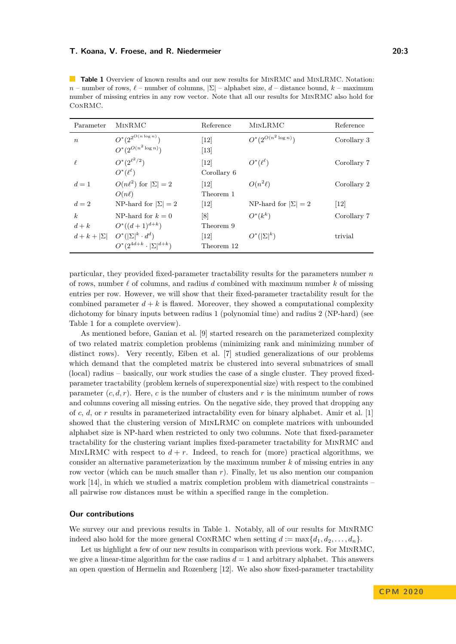ConRMC.

<span id="page-2-0"></span>**Table 1** Overview of known results and our new results for MinRMC and MinLRMC. Notation:

| Parameter        | <b>MINRMC</b>                              | Reference         | MINLRMC                      | Reference   |
|------------------|--------------------------------------------|-------------------|------------------------------|-------------|
| $\boldsymbol{n}$ | $O^*(2^{2^{O(n \log n)}})$                 | $[12]$            | $O^*(2^{O(n^2 \log n)})$     | Corollary 3 |
|                  | $O^*(2^{O(n^2 \log n)})$                   | $\left[13\right]$ |                              |             |
|                  | $O^*(2^{\ell^2/2})$                        | $[12]$            | $O^*(\ell^{\ell})$           | Corollary 7 |
|                  | $O^*(\ell^{\ell})$                         | Corollary 6       |                              |             |
| $d=1$            | $O(n\ell^2)$ for $ \Sigma =2$              | $\left[12\right]$ | $O(n^2\ell)$                 | Corollary 2 |
|                  | $O(n\ell)$                                 | Theorem 1         |                              |             |
| $d=2$            | NP-hard for $ \Sigma =2$                   | 12                | NP-hard for $ \Sigma =2$     | 12          |
| $\mathbf{k}$     | NP-hard for $k=0$                          | [8]               | $O^*(k^k)$                   | Corollary 7 |
| $d+k$            | $O^*((d+1)^{d+k})$                         | Theorem 9         |                              |             |
|                  | $d+k+ \Sigma $ $O^*( \Sigma ^k \cdot d^d)$ | $\left[12\right]$ | $O^*(\left[\Sigma\right]^k)$ | trivial     |
|                  | $O^*(2^{4d+k} \cdot  \Sigma ^{d+k})$       | Theorem 12        |                              |             |

*n* – number of rows,  $\ell$  – number of columns,  $|\Sigma|$  – alphabet size,  $d$  – distance bound,  $k$  – maximum number of missing entries in any row vector. Note that all our results for MinRMC also hold for

particular, they provided fixed-parameter tractability results for the parameters number *n* of rows, number  $\ell$  of columns, and radius *d* combined with maximum number  $k$  of missing entries per row. However, we will show that their fixed-parameter tractability result for the combined parameter  $d + k$  is flawed. Moreover, they showed a computational complexity dichotomy for binary inputs between radius 1 (polynomial time) and radius 2 (NP-hard) (see Table [1](#page-2-0) for a complete overview).

As mentioned before, Ganian et al. [\[9\]](#page-12-1) started research on the parameterized complexity of two related matrix completion problems (minimizing rank and minimizing number of distinct rows). Very recently, Eiben et al. [\[7\]](#page-12-0) studied generalizations of our problems which demand that the completed matrix be clustered into several submatrices of small (local) radius – basically, our work studies the case of a single cluster. They proved fixedparameter tractability (problem kernels of superexponential size) with respect to the combined parameter  $(c, d, r)$ . Here, *c* is the number of clusters and *r* is the minimum number of rows and columns covering all missing entries. On the negative side, they proved that dropping any of *c*, *d*, or *r* results in parameterized intractability even for binary alphabet. Amir et al. [\[1\]](#page-12-6) showed that the clustering version of MinLRMC on complete matrices with unbounded alphabet size is NP-hard when restricted to only two columns. Note that fixed-parameter tractability for the clustering variant implies fixed-parameter tractability for MinRMC and MINLRMC with respect to  $d + r$ . Indeed, to reach for (more) practical algorithms, we consider an alternative parameterization by the maximum number *k* of missing entries in any row vector (which can be much smaller than *r*). Finally, let us also mention our companion work [\[14\]](#page-13-3), in which we studied a matrix completion problem with diametrical constraints – all pairwise row distances must be within a specified range in the completion.

#### **Our contributions**

We survey our and previous results in Table [1.](#page-2-0) Notably, all of our results for MinRMC indeed also hold for the more general CONRMC when setting  $d := \max\{d_1, d_2, \ldots, d_n\}.$ 

Let us highlight a few of our new results in comparison with previous work. For MINRMC, we give a linear-time algorithm for the case radius  $d = 1$  and arbitrary alphabet. This answers an open question of Hermelin and Rozenberg [\[12\]](#page-12-3). We also show fixed-parameter tractability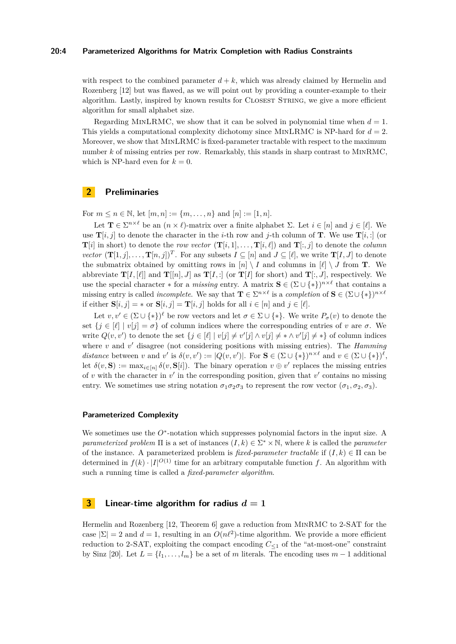#### **20:4 Parameterized Algorithms for Matrix Completion with Radius Constraints**

with respect to the combined parameter  $d + k$ , which was already claimed by Hermelin and Rozenberg [\[12\]](#page-12-3) but was flawed, as we will point out by providing a counter-example to their algorithm. Lastly, inspired by known results for CLOSEST STRING, we give a more efficient algorithm for small alphabet size.

Regarding MINLRMC, we show that it can be solved in polynomial time when  $d = 1$ . This yields a computational complexity dichotomy since MINLRMC is NP-hard for  $d = 2$ . Moreover, we show that MinLRMC is fixed-parameter tractable with respect to the maximum number *k* of missing entries per row. Remarkably, this stands in sharp contrast to MinRMC, which is NP-hard even for  $k = 0$ .

## **2 Preliminaries**

For  $m \le n \in \mathbb{N}$ , let  $[m, n] := \{m, \ldots, n\}$  and  $[n] := [1, n]$ .

Let  $\mathbf{T} \in \Sigma^{n \times \ell}$  be an  $(n \times \ell)$ -matrix over a finite alphabet  $\Sigma$ . Let  $i \in [n]$  and  $j \in [\ell]$ . We use  $\mathbf{T}[i, j]$  to denote the character in the *i*-th row and *j*-th column of **T**. We use  $\mathbf{T}[i, j]$  (or  $\mathbf{T}[i]$  in short) to denote the *row vector*  $(\mathbf{T}[i,1], \ldots, \mathbf{T}[i,\ell])$  and  $\mathbf{T}[:,j]$  to denote the *column vector*  $(\mathbf{T}[1,j], \ldots, \mathbf{T}[n,j])^T$ . For any subsets  $I \subseteq [n]$  and  $J \subseteq [\ell]$ , we write  $\mathbf{T}[I,J]$  to denote the submatrix obtained by omitting rows in  $[n] \setminus I$  and columns in  $[\ell] \setminus J$  from **T**. We abbreviate  $\mathbf{T}[I, \lbrack \ell \rbrack]$  and  $\mathbf{T}[[n], J]$  as  $\mathbf{T}[I, :]$  (or  $\mathbf{T}[I]$  for short) and  $\mathbf{T}[:, J]$ , respectively. We use the special character  $*$  for a *missing* entry. A matrix  $\mathbf{S} \in (\Sigma \cup \{*\})^{n \times \ell}$  that contains a missing entry is called *incomplete*. We say that  $\mathbf{T} \in \Sigma^{n \times \ell}$  is a *completion* of  $\mathbf{S} \in (\Sigma \cup \{*\})^{n \times \ell}$ if either  $\mathbf{S}[i, j] = *$  or  $\mathbf{S}[i, j] = \mathbf{T}[i, j]$  holds for all  $i \in [n]$  and  $j \in [\ell]$ .

Let  $v, v' \in (\Sigma \cup \{*\})^{\ell}$  be row vectors and let  $\sigma \in \Sigma \cup \{*\}$ . We write  $P_{\sigma}(v)$  to denote the set  $\{j \in [\ell] \mid v[j] = \sigma\}$  of column indices where the corresponding entries of *v* are  $\sigma$ . We write  $Q(v, v')$  to denote the set  $\{j \in [\ell] \mid v[j] \neq v'[j] \wedge v[j] \neq * \wedge v'[j] \neq * \}$  of column indices where  $v$  and  $v'$  disagree (not considering positions with missing entries). The *Hamming* distance between *v* and *v*' is  $\delta(v, v') := |Q(v, v')|$ . For  $S \in (\Sigma \cup \{*\})^{n \times \ell}$  and  $v \in (\Sigma \cup \{*\})^{\ell}$ , let  $\delta(v, \mathbf{S}) := \max_{i \in [n]} \delta(v, \mathbf{S}[i])$ . The binary operation  $v \oplus v'$  replaces the missing entries of *v* with the character in  $v'$  in the corresponding position, given that  $v'$  contains no missing entry. We sometimes use string notation  $\sigma_1 \sigma_2 \sigma_3$  to represent the row vector  $(\sigma_1, \sigma_2, \sigma_3)$ .

## **Parameterized Complexity**

We sometimes use the *O*<sup>∗</sup> -notation which suppresses polynomial factors in the input size. A *parameterized problem*  $\Pi$  is a set of instances  $(I, k) \in \Sigma^* \times \mathbb{N}$ , where k is called the *parameter* of the instance. A parameterized problem is *fixed-parameter tractable* if  $(I, k) \in \Pi$  can be determined in  $f(k) \cdot |I|^{O(1)}$  time for an arbitrary computable function f. An algorithm with such a running time is called a *fixed-parameter algorithm*.

## **3 Linear-time algorithm for radius** *d* **= 1**

Hermelin and Rozenberg [\[12,](#page-12-3) Theorem 6] gave a reduction from MinRMC to 2-SAT for the case  $|\Sigma| = 2$  and  $d = 1$ , resulting in an  $O(n\ell^2)$ -time algorithm. We provide a more efficient reduction to 2-SAT, exploiting the compact encoding  $C_{\leq 1}$  of the "at-most-one" constraint by Sinz [\[20\]](#page-13-4). Let  $L = \{l_1, \ldots, l_m\}$  be a set of *m* literals. The encoding uses  $m-1$  additional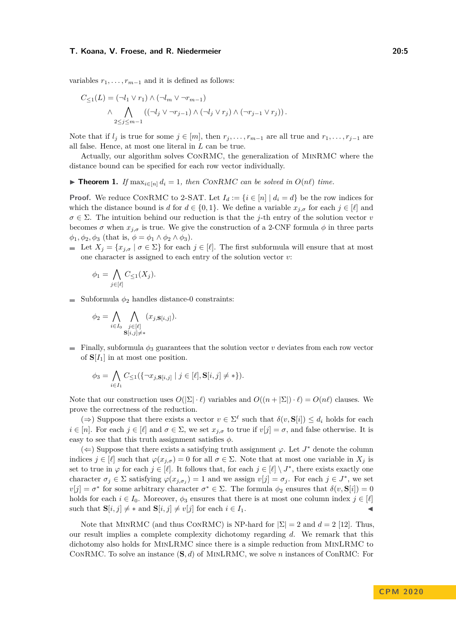variables  $r_1, \ldots, r_{m-1}$  and it is defined as follows:

$$
C_{\leq 1}(L) = (\neg l_1 \lor r_1) \land (\neg l_m \lor \neg r_{m-1})
$$

$$
\land \bigwedge_{2 \leq j \leq m-1} ((\neg l_j \lor \neg r_{j-1}) \land (\neg l_j \lor r_j) \land (\neg r_{j-1} \lor r_j)).
$$

Note that if  $l_j$  is true for some  $j \in [m]$ , then  $r_j, \ldots, r_{m-1}$  are all true and  $r_1, \ldots, r_{j-1}$  are all false. Hence, at most one literal in *L* can be true.

Actually, our algorithm solves ConRMC, the generalization of MinRMC where the distance bound can be specified for each row vector individually.

<span id="page-4-0"></span>▶ **Theorem 1.** *If*  $\max_{i \in [n]} d_i = 1$ *, then* CONRMC *can be solved in*  $O(n\ell)$  *time.* 

**Proof.** We reduce CONRMC to 2-SAT. Let  $I_d := \{i \in [n] | d_i = d\}$  be the row indices for which the distance bound is *d* for  $d \in \{0,1\}$ . We define a variable  $x_{j,\sigma}$  for each  $j \in [\ell]$  and  $\sigma \in \Sigma$ . The intuition behind our reduction is that the *j*-th entry of the solution vector *v* becomes  $\sigma$  when  $x_{i,\sigma}$  is true. We give the construction of a 2-CNF formula  $\phi$  in three parts  $\phi_1, \phi_2, \phi_3$  (that is,  $\phi = \phi_1 \wedge \phi_2 \wedge \phi_3$ ).

Let  $X_j = \{x_{j,\sigma} \mid \sigma \in \Sigma\}$  for each  $j \in [\ell]$ . The first subformula will ensure that at most one character is assigned to each entry of the solution vector *v*:

$$
\phi_1 = \bigwedge_{j \in [\ell]} C_{\leq 1}(X_j).
$$

Subformula  $\phi_2$  handles distance-0 constraints:

$$
\phi_2 = \bigwedge_{i \in I_0} \bigwedge_{\substack{j \in [\ell] \\ \mathbf{S}[i,j] \neq *}} (x_{j,\mathbf{S}[i,j]}).
$$

Finally, subformula  $\phi_3$  guarantees that the solution vector *v* deviates from each row vector of  $S[I_1]$  in at most one position.

$$
\phi_3 = \bigwedge_{i \in I_1} C_{\leq 1}(\{\neg x_{j,\mathbf{S}[i,j]} \mid j \in [\ell], \mathbf{S}[i,j] \neq *\}).
$$

Note that our construction uses  $O(|\Sigma| \cdot \ell)$  variables and  $O((n + |\Sigma|) \cdot \ell) = O(n\ell)$  clauses. We prove the correctness of the reduction.

 $(\Rightarrow)$  Suppose that there exists a vector  $v \in \Sigma^{\ell}$  such that  $\delta(v, \mathbf{S}[i]) \leq d_i$  holds for each  $i \in [n]$ . For each  $j \in [\ell]$  and  $\sigma \in \Sigma$ , we set  $x_{j,\sigma}$  to true if  $v[j] = \sigma$ , and false otherwise. It is easy to see that this truth assignment satisfies  $\phi$ .

(⇐) Suppose that there exists a satisfying truth assignment *ϕ*. Let *J* <sup>∗</sup> denote the column indices  $j \in [\ell]$  such that  $\varphi(x_{j,\sigma}) = 0$  for all  $\sigma \in \Sigma$ . Note that at most one variable in  $X_j$  is set to true in  $\varphi$  for each  $j \in [\ell]$ . It follows that, for each  $j \in [\ell] \setminus J^*$ , there exists exactly one character  $\sigma_j \in \Sigma$  satisfying  $\varphi(x_{j,\sigma_j}) = 1$  and we assign  $v[j] = \sigma_j$ . For each  $j \in J^*$ , we set  $v[j] = \sigma^*$  for some arbitrary character  $\sigma^* \in \Sigma$ . The formula  $\phi_2$  ensures that  $\delta(v, \mathbf{S}[i]) = 0$ holds for each  $i \in I_0$ . Moreover,  $\phi_3$  ensures that there is at most one column index  $j \in [\ell]$ such that  $\mathbf{S}[i, j] \neq *$  and  $\mathbf{S}[i, j] \neq v[j]$  for each  $i \in I_1$ .

Note that MINRMC (and thus CONRMC) is NP-hard for  $|\Sigma| = 2$  and  $d = 2$  [\[12\]](#page-12-3). Thus, our result implies a complete complexity dichotomy regarding *d*. We remark that this dichotomy also holds for MinLRMC since there is a simple reduction from MinLRMC to ConRMC. To solve an instance (**S***, d*) of MinLRMC, we solve *n* instances of ConRMC: For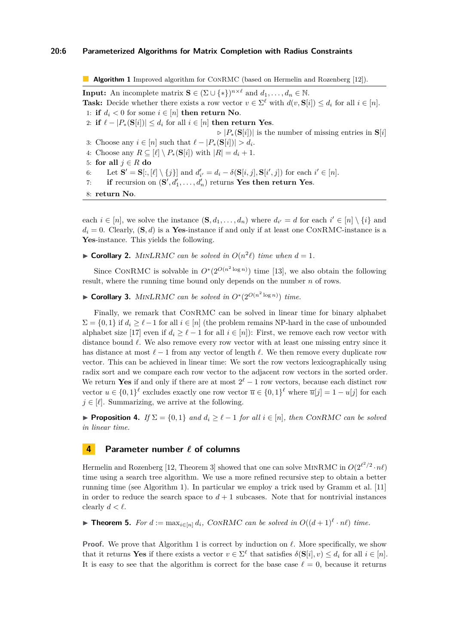#### **20:6 Parameterized Algorithms for Matrix Completion with Radius Constraints**

<span id="page-5-2"></span>**Algorithm 1** Improved algorithm for ConRMC (based on Hermelin and Rozenberg [\[12\]](#page-12-3)).

**Input:** An incomplete matrix  $\mathbf{S} \in (\Sigma \cup \{*\})^{n \times \ell}$  and  $d_1, \ldots, d_n \in \mathbb{N}$ . **Task:** Decide whether there exists a row vector  $v \in \Sigma^{\ell}$  with  $d(v, \mathbf{S}[i]) \leq d_i$  for all  $i \in [n]$ . 1: **if**  $d_i < 0$  for some  $i \in [n]$  **then return No.** 2: **if**  $\ell - |P_*(\mathbf{S}[i])| \leq d_i$  for all  $i \in [n]$  then return Yes.  $\triangleright$   $|P_*(\mathbf{S}[i])|$  is the number of missing entries in  $\mathbf{S}[i]$ 3: Choose any  $i \in [n]$  such that  $\ell - |P_*(\mathbf{S}[i])| > d_i$ . 4: Choose any  $R \subseteq [\ell] \setminus P_*(\mathbf{S}[i])$  with  $|R| = d_i + 1$ . 5: **for all**  $j \in R$  **do** 6: Let  $\mathbf{S}' = \mathbf{S}[:, [\ell] \setminus \{j\}]$  and  $d'_{i'} = d_i - \delta(\mathbf{S}[i, j], \mathbf{S}[i', j])$  for each  $i' \in [n]$ . 7: **if** recursion on  $(\mathbf{S}', d'_1, \ldots, d'_n)$  returns **Yes then return Yes**. 8: **return No**.

each  $i \in [n]$ , we solve the instance  $(\mathbf{S}, d_1, \ldots, d_n)$  where  $d_{i'} = d$  for each  $i' \in [n] \setminus \{i\}$  and  $d_i = 0$ . Clearly,  $(\mathbf{S}, d)$  is a **Yes**-instance if and only if at least one CONRMC-instance is a **Yes**-instance. This yields the following.

<span id="page-5-1"></span> $\triangleright$  **Corollary 2.** MINLRMC can be solved in  $O(n^2\ell)$  time when  $d = 1$ .

Since CONRMC is solvable in  $O^*(2^{O(n^2 \log n)})$  time [\[13\]](#page-12-5), we also obtain the following result, where the running time bound only depends on the number *n* of rows.

<span id="page-5-0"></span>▶ Corollary 3. MINLRMC *can be solved in*  $O^*(2^{O(n^2 \log n)})$  *time.* 

Finally, we remark that ConRMC can be solved in linear time for binary alphabet  $\Sigma = \{0, 1\}$  if  $d_i \geq \ell - 1$  for all  $i \in [n]$  (the problem remains NP-hard in the case of unbounded alphabet size [\[17\]](#page-13-5) even if  $d_i \geq \ell - 1$  for all  $i \in [n]$ ): First, we remove each row vector with distance bound  $\ell$ . We also remove every row vector with at least one missing entry since it has distance at most  $\ell - 1$  from any vector of length  $\ell$ . We then remove every duplicate row vector. This can be achieved in linear time: We sort the row vectors lexicographically using radix sort and we compare each row vector to the adjacent row vectors in the sorted order. We return **Yes** if and only if there are at most  $2^{\ell} - 1$  row vectors, because each distinct row vector  $u \in \{0,1\}^{\ell}$  excludes exactly one row vector  $\overline{u} \in \{0,1\}^{\ell}$  where  $\overline{u}[j] = 1 - u[j]$  for each  $j \in [\ell]$ . Summarizing, we arrive at the following.

**Proposition 4.** *If*  $\Sigma = \{0, 1\}$  *and*  $d_i \geq \ell - 1$  *for all*  $i \in [n]$ *, then* CONRMC *can be solved in linear time.*

# **4 Parameter number** *`* **of columns**

Hermelin and Rozenberg [\[12,](#page-12-3) Theorem 3] showed that one can solve MINRMC in  $O(2^{\ell^2/2} \cdot n\ell)$ time using a search tree algorithm. We use a more refined recursive step to obtain a better running time (see Algorithm [1\)](#page-5-2). In particular we employ a trick used by Gramm et al. [\[11\]](#page-12-7) in order to reduce the search space to  $d+1$  subcases. Note that for nontrivial instances clearly  $d < \ell$ .

<span id="page-5-3"></span>▶ **Theorem 5.** *For*  $d := \max_{i \in [n]} d_i$ , CONRMC *can be solved in*  $O((d+1)^{\ell} \cdot n\ell)$  *time.* 

**Proof.** We prove that Algorithm [1](#page-5-2) is correct by induction on  $\ell$ . More specifically, we show that it returns **Yes** if there exists a vector  $v \in \Sigma^{\ell}$  that satisfies  $\delta(\mathbf{S}[i], v) \leq d_i$  for all  $i \in [n]$ . It is easy to see that the algorithm is correct for the base case  $\ell = 0$ , because it returns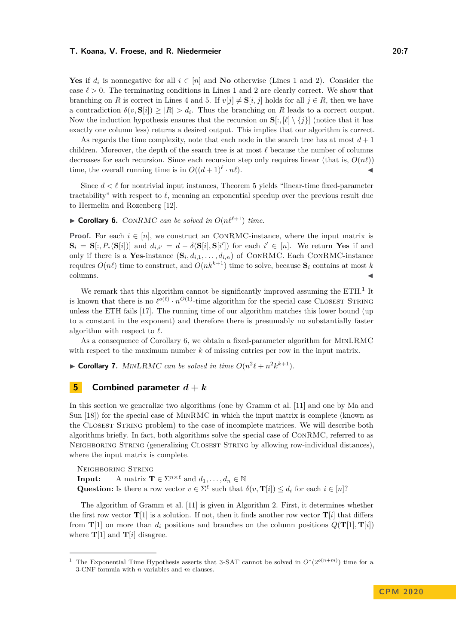**Yes** if  $d_i$  is nonnegative for all  $i \in [n]$  and **No** otherwise (Lines [1](#page-5-2) and [2\)](#page-5-2). Consider the case  $\ell > 0$ . The terminating conditions in Lines [1](#page-5-2) and [2](#page-5-2) are clearly correct. We show that branching on *R* is correct in Lines [4](#page-5-2) and [5.](#page-5-2) If  $v[i] \neq S[i, j]$  holds for all  $j \in R$ , then we have a contradiction  $\delta(v, \mathbf{S}[i]) \geq |R| > d_i$ . Thus the branching on R leads to a correct output. Now the induction hypothesis ensures that the recursion on  $\mathbf{S}[\cdot,\ell] \setminus \{j\}$  (notice that it has exactly one column less) returns a desired output. This implies that our algorithm is correct.

As regards the time complexity, note that each node in the search tree has at most  $d+1$ children. Moreover, the depth of the search tree is at most  $\ell$  because the number of columns decreases for each recursion. Since each recursion step only requires linear (that is,  $O(n\ell)$ ) time, the overall running time is in  $O((d+1)^{\ell} \cdot n\ell)$ .  $\cdot n\ell$ ).

Since  $d < \ell$  for nontrivial input instances, Theorem [5](#page-5-3) yields "linear-time fixed-parameter" tractability" with respect to  $\ell$ , meaning an exponential speedup over the previous result due to Hermelin and Rozenberg [\[12\]](#page-12-3).

# <span id="page-6-1"></span> $\triangleright$  **Corollary 6.** CONRMC can be solved in  $O(n\ell^{\ell+1})$  time.

**Proof.** For each  $i \in [n]$ , we construct an CONRMC-instance, where the input matrix is  $\mathbf{S}_i = \mathbf{S}[:, P_*(\mathbf{S}[i])]$  and  $d_{i,i'} = d - \delta(\mathbf{S}[i], \mathbf{S}[i'])$  for each  $i' \in [n]$ . We return Yes if and only if there is a **Yes**-instance  $(\mathbf{S}_i, d_{i,1}, \ldots, d_{i,n})$  of CONRMC. Each CONRMC-instance requires  $O(n\ell)$  time to construct, and  $O(nk^{k+1})$  time to solve, because  $S_i$  contains at most *k*  $\bullet$  columns.

We remark that this algorithm cannot be significantly improved assuming the  $ETH<sup>1</sup>$  $ETH<sup>1</sup>$  $ETH<sup>1</sup>$  It is known that there is no  $\ell^{o(\ell)} \cdot n^{O(1)}$ -time algorithm for the special case CLOSEST STRING unless the ETH fails [\[17\]](#page-13-5). The running time of our algorithm matches this lower bound (up to a constant in the exponent) and therefore there is presumably no substantially faster algorithm with respect to  $\ell$ .

As a consequence of Corollary [6,](#page-6-1) we obtain a fixed-parameter algorithm for MinLRMC with respect to the maximum number *k* of missing entries per row in the input matrix.

<span id="page-6-0"></span> $\blacktriangleright$  **Corollary 7.** MINLRMC can be solved in time  $O(n^2\ell + n^2k^{k+1})$ .

# **5 Combined parameter**  $d + k$

In this section we generalize two algorithms (one by Gramm et al. [\[11\]](#page-12-7) and one by Ma and Sun [\[18\]](#page-13-6)) for the special case of MinRMC in which the input matrix is complete (known as the Closest String problem) to the case of incomplete matrices. We will describe both algorithms briefly. In fact, both algorithms solve the special case of ConRMC, referred to as NEIGHBORING STRING (generalizing CLOSEST STRING by allowing row-individual distances), where the input matrix is complete.

Neighboring String **Input:** A matrix  $\mathbf{T} \in \Sigma^{n \times \ell}$  and  $d_1, \ldots, d_n \in \mathbb{N}$ Question: Is there a row vector  $v \in \Sigma^{\ell}$  such that  $\delta(v, \mathbf{T}[i]) \leq d_i$  for each  $i \in [n]$ ?

The algorithm of Gramm et al. [\[11\]](#page-12-7) is given in Algorithm [2.](#page-7-0) First, it determines whether the first row vector  $\mathbf{T}[1]$  is a solution. If not, then it finds another row vector  $\mathbf{T}[i]$  that differs from  $\mathbf{T}[1]$  on more than  $d_i$  positions and branches on the column positions  $Q(\mathbf{T}[1], \mathbf{T}[i])$ where  $\mathbf{T}[1]$  and  $\mathbf{T}[i]$  disagree.

<span id="page-6-2"></span><sup>&</sup>lt;sup>1</sup> The Exponential Time Hypothesis asserts that 3-SAT cannot be solved in  $O^*(2^{o(n+m)})$  time for a 3-CNF formula with *n* variables and *m* clauses.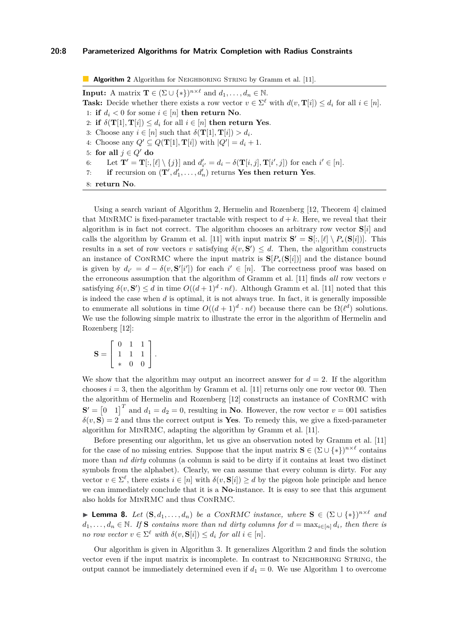<span id="page-7-0"></span>**Algorithm 2** Algorithm for NEIGHBORING STRING by Gramm et al. [\[11\]](#page-12-7).

**Input:** A matrix  $\mathbf{T} \in (\Sigma \cup \{*\})^{n \times \ell}$  and  $d_1, \ldots, d_n \in \mathbb{N}$ . **Task:** Decide whether there exists a row vector  $v \in \Sigma^{\ell}$  with  $d(v, \mathbf{T}[i]) \leq d_i$  for all  $i \in [n]$ . 1: **if**  $d_i < 0$  for some  $i \in [n]$  **then return No.** 2: **if**  $\delta(\mathbf{T}[1], \mathbf{T}[i]) \leq d_i$  for all  $i \in [n]$  **then return Yes.** 3: Choose any  $i \in [n]$  such that  $\delta(\mathbf{T}[1], \mathbf{T}[i]) > d_i$ . 4: Choose any  $Q' \subseteq Q(\mathbf{T}[1], \mathbf{T}[i])$  with  $|Q'| = d_i + 1$ . 5: **for all**  $j \in Q'$  **do** 6: Let  $\mathbf{T}' = \mathbf{T}[:, [\ell] \setminus \{j\}]$  and  $d'_{i'} = d_i - \delta(\mathbf{T}[i, j], \mathbf{T}[i', j])$  for each  $i' \in [n]$ . 7: **if** recursion on  $(\mathbf{T}', d'_1, \ldots, d'_n)$  returns **Yes then return Yes**. 8: **return No**.

Using a search variant of Algorithm [2,](#page-7-0) Hermelin and Rozenberg [\[12,](#page-12-3) Theorem 4] claimed that MINRMC is fixed-parameter tractable with respect to  $d + k$ . Here, we reveal that their algorithm is in fact not correct. The algorithm chooses an arbitrary row vector **S**[*i*] and calls the algorithm by Gramm et al. [\[11\]](#page-12-7) with input matrix  $S' = S[:, [\ell] \setminus P_*(S[i])].$  This results in a set of row vectors *v* satisfying  $\delta(v, \mathbf{S}') \leq d$ . Then, the algorithm constructs an instance of ConRMC where the input matrix is **S**[*P*∗(**S**[*i*])] and the distance bound is given by  $d_{i'} = d - \delta(v, \mathbf{S}'[i'])$  for each  $i' \in [n]$ . The correctness proof was based on the erroneous assumption that the algorithm of Gramm et al. [\[11\]](#page-12-7) finds *all* row vectors *v* satisfying  $\delta(v, \mathbf{S}') \leq d$  in time  $O((d+1)^d \cdot n\ell)$ . Although Gramm et al. [\[11\]](#page-12-7) noted that this is indeed the case when *d* is optimal, it is not always true. In fact, it is generally impossible to enumerate all solutions in time  $O((d+1)^d \cdot n\ell)$  because there can be  $\Omega(\ell^d)$  solutions. We use the following simple matrix to illustrate the error in the algorithm of Hermelin and Rozenberg [\[12\]](#page-12-3):

$$
\mathbf{S} = \left[ \begin{array}{rrr} 0 & 1 & 1 \\ 1 & 1 & 1 \\ * & 0 & 0 \end{array} \right].
$$

We show that the algorithm may output an incorrect answer for  $d = 2$ . If the algorithm chooses  $i = 3$ , then the algorithm by Gramm et al. [\[11\]](#page-12-7) returns only one row vector 00. Then the algorithm of Hermelin and Rozenberg [\[12\]](#page-12-3) constructs an instance of ConRMC with  $S' = \begin{bmatrix} 0 & 1 \end{bmatrix}^T$  and  $d_1 = d_2 = 0$ , resulting in **No**. However, the row vector  $v = 001$  satisfies  $\delta(v, S) = 2$  and thus the correct output is **Yes**. To remedy this, we give a fixed-parameter algorithm for MinRMC, adapting the algorithm by Gramm et al. [\[11\]](#page-12-7).

Before presenting our algorithm, let us give an observation noted by Gramm et al. [\[11\]](#page-12-7) for the case of no missing entries. Suppose that the input matrix  $\mathbf{S} \in (\Sigma \cup \{*\})^{n \times \ell}$  contains more than *nd dirty* columns (a column is said to be dirty if it contains at least two distinct symbols from the alphabet). Clearly, we can assume that every column is dirty. For any vector  $v \in \Sigma^{\ell}$ , there exists  $i \in [n]$  with  $\delta(v, \mathbf{S}[i]) \geq d$  by the pigeon hole principle and hence we can immediately conclude that it is a **No**-instance. It is easy to see that this argument also holds for MinRMC and thus ConRMC.

<span id="page-7-1"></span>▶ **Lemma 8.** *Let*  $(\mathbf{S}, d_1, \ldots, d_n)$  *be a CONRMC instance, where*  $\mathbf{S} \in (\Sigma \cup \{*\})^{n \times \ell}$  *and*  $d_1, \ldots, d_n \in \mathbb{N}$ . If **S** contains more than nd dirty columns for  $d = \max_{i \in [n]} d_i$ , then there is *no row vector*  $v \in \Sigma^{\ell}$  *with*  $\delta(v, \mathbf{S}[i]) \leq d_i$  *for all*  $i \in [n]$ *.* 

Our algorithm is given in Algorithm [3.](#page-8-1) It generalizes Algorithm [2](#page-7-0) and finds the solution vector even if the input matrix is incomplete. In contrast to NEIGHBORING STRING, the output cannot be immediately determined even if  $d_1 = 0$ . We use Algorithm [1](#page-5-2) to overcome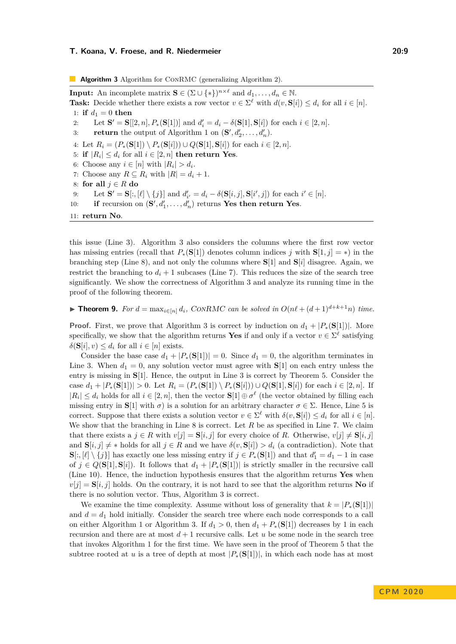<span id="page-8-1"></span>**Algorithm 3** Algorithm for CONRMC (generalizing Algorithm [2\)](#page-7-0).

**Input:** An incomplete matrix  $\mathbf{S} \in (\Sigma \cup \{*\})^{n \times \ell}$  and  $d_1, \ldots, d_n \in \mathbb{N}$ . **Task:** Decide whether there exists a row vector  $v \in \Sigma^{\ell}$  with  $d(v, \mathbf{S}[i]) \leq d_i$  for all  $i \in [n]$ . 1: **if**  $d_1 = 0$  **then** 2: Let  $S' = S[[2, n], P_*(S[1])]$  and  $d'_i = d_i - \delta(S[1], S[i])$  for each  $i \in [2, n]$ . 3: **return** the output of Algorithm [1](#page-5-2) on  $(\mathbf{S}', d'_2, \dots, d'_n)$ . 4: Let  $R_i = (P_*(\mathbf{S}[1]) \setminus P_*(\mathbf{S}[i])) \cup Q(\mathbf{S}[1], \mathbf{S}[i])$  for each  $i \in [2, n]$ . 5: **if**  $|R_i| \leq d_i$  for all  $i \in [2, n]$  **then return Yes**. 6: Choose any  $i \in [n]$  with  $|R_i| > d_i$ . 7: Choose any  $R \subseteq R_i$  with  $|R| = d_i + 1$ . 8: **for all**  $j \in R$  **do** 9: Let  $\mathbf{S}' = \mathbf{S}[:, [\ell] \setminus \{j\}]$  and  $d'_{i'} = d_i - \delta(\mathbf{S}[i, j], \mathbf{S}[i', j])$  for each  $i' \in [n]$ . 10: **if** recursion on  $(\mathbf{S}', d'_1, \ldots, d'_n)$  returns **Yes then return Yes**.

11: **return No**.

this issue (Line [3\)](#page-8-1). Algorithm [3](#page-8-1) also considers the columns where the first row vector has missing entries (recall that  $P_*(\mathbf{S}[1])$  denotes column indices *j* with  $\mathbf{S}[1,j] = *)$  in the branching step (Line [8\)](#page-8-1), and not only the columns where **S**[1] and **S**[*i*] disagree. Again, we restrict the branching to  $d_i + 1$  subcases (Line [7\)](#page-8-1). This reduces the size of the search tree significantly. We show the correctness of Algorithm [3](#page-8-1) and analyze its running time in the proof of the following theorem.

<span id="page-8-0"></span>▶ **Theorem 9.** *For*  $d = \max_{i \in [n]} d_i$ , CONRMC can be solved in  $O(n\ell + (d+1)^{d+k+1}n)$  time.

**Proof.** First, we prove that Algorithm [3](#page-8-1) is correct by induction on  $d_1 + |P_*(\mathbf{S}[1])|$ . More specifically, we show that the algorithm returns **Yes** if and only if a vector  $v \in \Sigma^{\ell}$  satisfying  $\delta(\mathbf{S}[i], v) \leq d_i$  for all  $i \in [n]$  exists.

Consider the base case  $d_1 + |P_*(\mathbf{S}[1])| = 0$ . Since  $d_1 = 0$ , the algorithm terminates in Line [3.](#page-8-1) When  $d_1 = 0$ , any solution vector must agree with **S**[1] on each entry unless the entry is missing in **S**[1]. Hence, the output in Line [3](#page-8-1) is correct by Theorem [5.](#page-5-3) Consider the case  $d_1 + |P_*(S[1]| > 0$ . Let  $R_i = (P_*(S[1]) \setminus P_*(S[i]) \cup Q(S[1], S[i])$  for each  $i \in [2, n]$ . If  $|R_i| \leq d_i$  holds for all  $i \in [2, n]$ , then the vector  $S[1] \oplus \sigma^{\ell}$  (the vector obtained by filling each missing entry in  $S[1]$  with  $\sigma$ ) is a solution for an arbitrary character  $\sigma \in \Sigma$ . Hence, Line [5](#page-8-1) is correct. Suppose that there exists a solution vector  $v \in \Sigma^{\ell}$  with  $\delta(v, \mathbf{S}[i]) \leq d_i$  for all  $i \in [n]$ . We show that the branching in Line [8](#page-8-1) is correct. Let *R* be as specified in Line [7.](#page-8-1) We claim that there exists a  $j \in R$  with  $v[j] = \mathbf{S}[i, j]$  for every choice of R. Otherwise,  $v[j] \neq \mathbf{S}[i, j]$ and  $\mathbf{S}[i, j] \neq *$  holds for all  $j \in R$  and we have  $\delta(v, \mathbf{S}[i]) > d_i$  (a contradiction). Note that **S**[:,  $[\ell] \setminus \{j\}$ ] has exactly one less missing entry if  $j \in P_*(\mathbf{S}[1])$  and that  $d'_1 = d_1 - 1$  in case of  $j \in Q(\mathbf{S}[1], \mathbf{S}[i])$ . It follows that  $d_1 + |P_*(\mathbf{S}[1])|$  is strictly smaller in the recursive call (Line [10\)](#page-8-1). Hence, the induction hypothesis ensures that the algorithm returns **Yes** when  $v[j] = S[i, j]$  holds. On the contrary, it is not hard to see that the algorithm returns **No** if there is no solution vector. Thus, Algorithm [3](#page-8-1) is correct.

We examine the time complexity. Assume without loss of generality that  $k = |P_*(\mathbf{S}[1])|$ and  $d = d_1$  hold initially. Consider the search tree where each node corresponds to a call on either Algorithm [1](#page-5-2) or Algorithm [3.](#page-8-1) If  $d_1 > 0$ , then  $d_1 + P_*(S[1])$  decreases by 1 in each recursion and there are at most  $d+1$  recursive calls. Let  $u$  be some node in the search tree that invokes Algorithm [1](#page-5-2) for the first time. We have seen in the proof of Theorem [5](#page-5-3) that the subtree rooted at *u* is a tree of depth at most  $|P_*(\mathbf{S}[1])|$ , in which each node has at most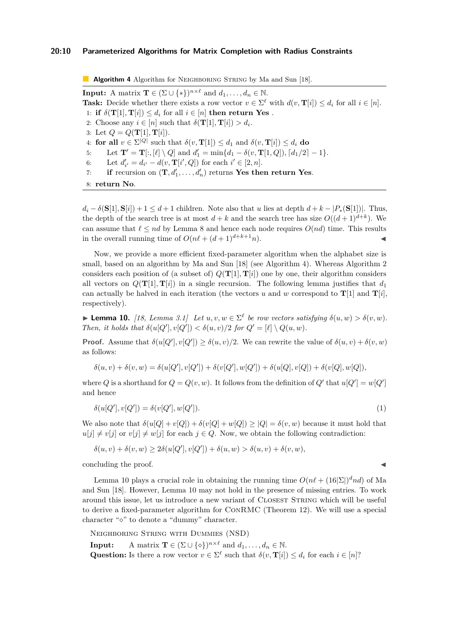<span id="page-9-0"></span>**Algorithm 4** Algorithm for NEIGHBORING STRING by Ma and Sun [\[18\]](#page-13-6).

**Input:** A matrix  $\mathbf{T} \in (\Sigma \cup \{*\})^{n \times \ell}$  and  $d_1, \ldots, d_n \in \mathbb{N}$ . **Task:** Decide whether there exists a row vector  $v \in \Sigma^{\ell}$  with  $d(v, \mathbf{T}[i]) \leq d_i$  for all  $i \in [n]$ . 1: **if**  $\delta(\mathbf{T}[1], \mathbf{T}[i]) \leq d_i$  for all  $i \in [n]$  **then return Yes**. 2: Choose any  $i \in [n]$  such that  $\delta(\mathbf{T}[1], \mathbf{T}[i]) > d_i$ . 3: Let  $Q = Q(\mathbf{T}[1], \mathbf{T}[i]).$ 4: **for all**  $v \in \Sigma^{|Q|}$  such that  $\delta(v, \mathbf{T}[1]) \leq d_1$  and  $\delta(v, \mathbf{T}[i]) \leq d_i$  do 5: Let  $\mathbf{T}' = \mathbf{T}[:, [\ell] \setminus Q]$  and  $d'_1 = \min\{d_1 - \delta(v, \mathbf{T}[1, Q]), [d_1/2] - 1\}.$ 6: Let  $d'_{i'} = d_{i'} - d(v, \mathbf{T}[i', Q])$  for each  $i' \in [2, n]$ . 7: **if** recursion on  $(\mathbf{T}, d'_1, \ldots, d'_n)$  returns **Yes then return Yes**.

```
8: return No.
```
 $d_i - \delta(\mathbf{S}[1], \mathbf{S}[i]) + 1 \leq d + 1$  children. Note also that *u* lies at depth  $d + k - |P_*(\mathbf{S}[1])|$ . Thus, the depth of the search tree is at most  $d + k$  and the search tree has size  $O((d+1)^{d+k})$ . We can assume that  $\ell \leq nd$  by Lemma [8](#page-7-1) and hence each node requires  $O(nd)$  time. This results in the overall running time of  $O(n\ell + (d+1)^{d+k+1}n)$ .

Now, we provide a more efficient fixed-parameter algorithm when the alphabet size is small, based on an algorithm by Ma and Sun [\[18\]](#page-13-6) (see Algorithm [4\)](#page-9-0). Whereas Algorithm [2](#page-7-0) considers each position of (a subset of)  $Q(T[1], T[i])$  one by one, their algorithm considers all vectors on  $Q(T[1], T[i])$  in a single recursion. The following lemma justifies that  $d_1$ can actually be halved in each iteration (the vectors *u* and *w* correspond to  $\mathbf{T}[1]$  and  $\mathbf{T}[i]$ , respectively).

<span id="page-9-1"></span>► Lemma 10. [\[18,](#page-13-6) Lemma 3.1] Let  $u, v, w \in \Sigma^{\ell}$  be row vectors satisfying  $\delta(u, w) > \delta(v, w)$ . *Then, it holds that*  $\delta(u|Q'|, v|Q'|) < \delta(u, v)/2$  *for*  $Q' = [\ell] \setminus Q(u, w)$ .

**Proof.** Assume that  $\delta(u|Q'|, v|Q'|) \geq \delta(u, v)/2$ . We can rewrite the value of  $\delta(u, v) + \delta(v, w)$ as follows:

$$
\delta(u, v) + \delta(v, w) = \delta(u[Q'], v[Q']) + \delta(v[Q'], w[Q']) + \delta(u[Q], v[Q]) + \delta(v[Q], w[Q]),
$$

where *Q* is a shorthand for  $Q = Q(v, w)$ . It follows from the definition of  $Q'$  that  $u[Q'] = w[Q']$ and hence

$$
\delta(u[Q'], v[Q']) = \delta(v[Q'], w[Q']). \tag{1}
$$

We also note that  $\delta(u|Q] + v|Q|) + \delta(v|Q| + w|Q|) > |Q| = \delta(v, w)$  because it must hold that  $u[j] \neq v[j]$  or  $v[j] \neq w[j]$  for each  $j \in Q$ . Now, we obtain the following contradiction:

$$
\delta(u, v) + \delta(v, w) \ge 2\delta(u|Q'|, v|Q'|) + \delta(u, w) > \delta(u, v) + \delta(v, w),
$$

concluding the proof.

Lemma [10](#page-9-1) plays a crucial role in obtaining the running time  $O(n\ell + (16|\Sigma|)^d nd)$  of Ma and Sun [\[18\]](#page-13-6). However, Lemma [10](#page-9-1) may not hold in the presence of missing entries. To work around this issue, let us introduce a new variant of CLOSEST STRING which will be useful to derive a fixed-parameter algorithm for ConRMC (Theorem [12\)](#page-10-0). We will use a special character " $\diamond$ " to denote a "dummy" character.

Neighboring String with Dummies (NSD)

**Input:** A matrix  $\mathbf{T} \in (\Sigma \cup \{ \diamond \})^{n \times \ell}$  and  $d_1, \ldots, d_n \in \mathbb{N}$ . Question: Is there a row vector  $v \in \Sigma^{\ell}$  such that  $\delta(v, \mathbf{T}[i]) \leq d_i$  for each  $i \in [n]$ ?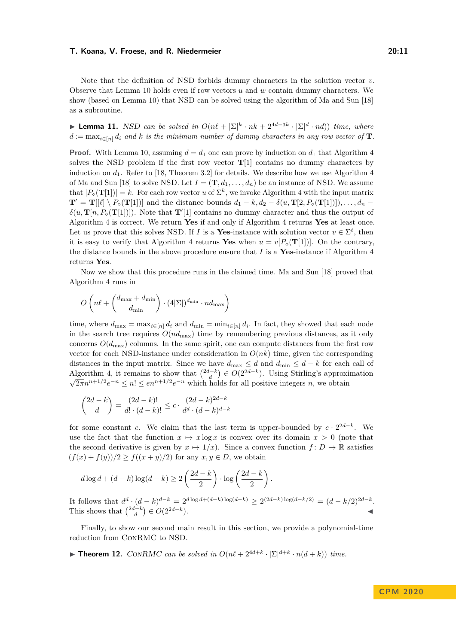Note that the definition of NSD forbids dummy characters in the solution vector *v*. Observe that Lemma [10](#page-9-1) holds even if row vectors *u* and *w* contain dummy characters. We show (based on Lemma [10\)](#page-9-1) that NSD can be solved using the algorithm of Ma and Sun [\[18\]](#page-13-6) as a subroutine.

<span id="page-10-1"></span>**► Lemma 11.** NSD can be solved in  $O(n\ell + |\Sigma|^k \cdot nk + 2^{4d-3k} \cdot |\Sigma|^d \cdot nd)$  time, where  $d := \max_{i \in [n]} d_i$  and k is the minimum number of dummy characters in any row vector of **T**.

**Proof.** With Lemma [10,](#page-9-1) assuming  $d = d_1$  one can prove by induction on  $d_1$  that Algorithm [4](#page-9-0) solves the NSD problem if the first row vector **T**[1] contains no dummy characters by induction on  $d_1$ . Refer to [\[18,](#page-13-6) Theorem 3.2] for details. We describe how we use Algorithm [4](#page-9-0) of Ma and Sun [\[18\]](#page-13-6) to solve NSD. Let  $I = (\mathbf{T}, d_1, \ldots, d_n)$  be an instance of NSD. We assume that  $|P_{\diamond}(\mathbf{T}[1])| = k$ . For each row vector *u* of  $\Sigma^k$ , we invoke Algorithm [4](#page-9-0) with the input matrix **T**<sup> $′$ </sup> = **T**[[ $\ell$ | \  $P_{\circ}$ (**T**[1])] and the distance bounds  $d_1 - k$ ,  $d_2 - \delta(u, \mathbf{T}[2, P_{\circ}(\mathbf{T}[1)]))$ , . . . ,  $d_n$  −  $\delta(u, \mathbf{T}[n, P_{\diamond}(\mathbf{T}[1])])$ . Note that  $\mathbf{T}'[1]$  contains no dummy character and thus the output of Algorithm [4](#page-9-0) is correct. We return **Yes** if and only if Algorithm [4](#page-9-0) returns **Yes** at least once. Let us prove that this solves NSD. If *I* is a **Yes**-instance with solution vector  $v \in \Sigma^{\ell}$ , then it is easy to verify that Algorithm [4](#page-9-0) returns **Yes** when  $u = v[P_0(\mathbf{T}[1])]$ . On the contrary, the distance bounds in the above procedure ensure that *I* is a **Yes**-instance if Algorithm [4](#page-9-0) returns **Yes**.

Now we show that this procedure runs in the claimed time. Ma and Sun [\[18\]](#page-13-6) proved that Algorithm [4](#page-9-0) runs in

$$
O\left(n\ell + \binom{d_{\max} + d_{\min}}{d_{\min}} \cdot (4|\Sigma|)^{d_{\min}} \cdot nd_{\max}\right)
$$

time, where  $d_{\text{max}} = \max_{i \in [n]} d_i$  and  $d_{\text{min}} = \min_{i \in [n]} d_i$ . In fact, they showed that each node in the search tree requires  $O(nd_{\text{max}})$  time by remembering previous distances, as it only concerns  $O(d_{\text{max}})$  columns. In the same spirit, one can compute distances from the first row vector for each NSD-instance under consideration in  $O(nk)$  time, given the corresponding distances in the input matrix. Since we have  $d_{\text{max}} \leq d$  and  $d_{\text{min}} \leq d - k$  for each call of Algorithm [4,](#page-9-0) it remains to show that  $\binom{2d-k}{d} \in O(2^{2d-k})$ . Using Stirling's approximation  $\sqrt{2\pi}n^{n+1/2}e^{-n} \le n! \le en^{n+1/2}e^{-n}$  which holds for all positive integers *n*, we obtain

$$
\binom{2d-k}{d} = \frac{(2d-k)!}{d! \cdot (d-k)!} \le c \cdot \frac{(2d-k)^{2d-k}}{d^d \cdot (d-k)^{d-k}}
$$

for some constant *c*. We claim that the last term is upper-bounded by  $c \cdot 2^{2d-k}$ . We use the fact that the function  $x \mapsto x \log x$  is convex over its domain  $x > 0$  (note that the second derivative is given by  $x \mapsto 1/x$ . Since a convex function  $f: D \to \mathbb{R}$  satisfies  $(f(x) + f(y))/2 \ge f((x+y)/2)$  for any  $x, y \in D$ , we obtain

$$
d \log d + (d-k) \log(d-k) \ge 2\left(\frac{2d-k}{2}\right) \cdot \log\left(\frac{2d-k}{2}\right).
$$

It follows that  $d^d \cdot (d-k)^{d-k} = 2^{d \log d + (d-k) \log(d-k)} \geq 2^{(2d-k) \log(d-k/2)} = (d-k/2)^{2d-k}.$ This shows that  $\binom{2d-k}{d} \in O(2^{2d-k})$ .

Finally, to show our second main result in this section, we provide a polynomial-time reduction from ConRMC to NSD.

<span id="page-10-0"></span>▶ **Theorem 12.** CONRMC can be solved in  $O(n\ell + 2^{4d+k} \cdot |\Sigma|^{d+k} \cdot n(d+k))$  time.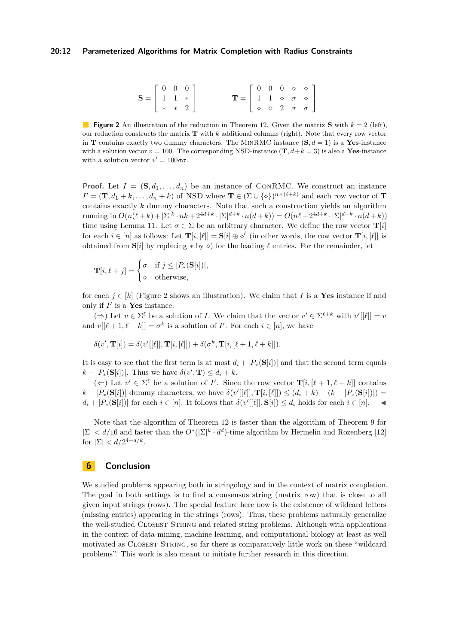#### <span id="page-11-0"></span>**20:12 Parameterized Algorithms for Matrix Completion with Radius Constraints**

| $\mathbf{S} = \left[ \begin{array}{ccc} 0 & 0 & 0 \\ 1 & 1 & * \end{array} \right]$ |         |  | $\mathbf{T} = \left[ \begin{array}{cccc} 0 & 0 & 0 & \diamond & \diamond \\ 1 & 1 & \diamond & \sigma & \diamond \\ \end{array} \right]$ |  |  |                                                                           |  |
|-------------------------------------------------------------------------------------|---------|--|------------------------------------------------------------------------------------------------------------------------------------------|--|--|---------------------------------------------------------------------------|--|
|                                                                                     | $* * 2$ |  |                                                                                                                                          |  |  | $\begin{bmatrix} \diamond & \diamond & 2 & \sigma & \sigma \end{bmatrix}$ |  |

**Figure 2** An illustration of the reduction in Theorem [12.](#page-10-0) Given the matrix **S** with  $k = 2$  (left), our reduction constructs the matrix **T** with *k* additional columns (right). Note that every row vector in **T** contains exactly two dummy characters. The MINRMC instance  $(\mathbf{S}, d = 1)$  is a **Yes**-instance with a solution vector  $v = 100$ . The corresponding NSD-instance  $(\mathbf{T}, d + k = 3)$  is also a **Yes**-instance with a solution vector  $v' = 100\sigma\sigma$ .

**Proof.** Let  $I = (\mathbf{S}, d_1, \ldots, d_n)$  be an instance of CONRMC. We construct an instance  $I' = (\mathbf{T}, d_1 + k, \dots, d_n + k)$  of NSD where  $\mathbf{T} \in (\Sigma \cup {\emptyset})^{n \times (\ell + k)}$  and each row vector of **T** contains exactly *k* dummy characters. Note that such a construction yields an algorithm running in  $O(n(\ell+k)+|\Sigma|^k \cdot nk+2^{4d+k} \cdot |\Sigma|^{d+k} \cdot n(d+k)) = O(n\ell+2^{4d+k} \cdot |\Sigma|^{d+k} \cdot n(d+k))$ time using Lemma [11.](#page-10-1) Let  $\sigma \in \Sigma$  be an arbitrary character. We define the row vector  $\mathbf{T}[i]$ for each  $i \in [n]$  as follows: Let  $\mathbf{T}[i,[\ell]] = \mathbf{S}[i] \oplus \diamond^{\ell}$  (in other words, the row vector  $\mathbf{T}[i,[\ell]]$  is obtained from  $S[i]$  by replacing  $*$  by  $\diamond$ ) for the leading  $\ell$  entries. For the remainder, let

$$
\mathbf{T}[i,\ell+j] = \begin{cases} \sigma & \text{if } j \leq |P_*(\mathbf{S}[i])|, \\ \diamond & \text{otherwise,} \end{cases}
$$

for each  $j \in [k]$  (Figure [2](#page-11-0) shows an illustration). We claim that *I* is a **Yes** instance if and only if  $I'$  is a Yes instance.

 $(\Rightarrow)$  Let  $v \in \Sigma^{\ell}$  be a solution of *I*. We claim that the vector  $v' \in \Sigma^{\ell+k}$  with  $v'[[\ell]] = v$ and  $v[[\ell + 1, \ell + k]] = \sigma^k$  is a solution of *I'*. For each  $i \in [n]$ , we have

$$
\delta(v', \mathbf{T}[i]) = \delta(v'[[\ell]], \mathbf{T}[i, [\ell]]) + \delta(\sigma^k, \mathbf{T}[i, [\ell+1, \ell+k]]).
$$

It is easy to see that the first term is at most  $d_i + |P_*(\mathbf{S}[i])|$  and that the second term equals  $k - |P_*(\mathbf{S}[i])|$ . Thus we have  $\delta(v', \mathbf{T}) \leq d_i + k$ .

 $(\Leftarrow)$  Let  $v' \in \Sigma^{\ell}$  be a solution of *I'*. Since the row vector  $\mathbf{T}[i,[\ell+1,\ell+k]]$  contains  $k - |P_*(\mathbf{S}[i])|$  dummy characters, we have  $\delta(v'[[\ell]], \mathbf{T}[i, [\ell]]) \leq (d_i + k) - (k - |P_*(\mathbf{S}[i])|) =$  $d_i + |P_*(\mathbf{S}[i])|$  for each  $i \in [n]$ . It follows that  $\delta(v'[[\ell]], \mathbf{S}[i]) \leq d_i$  holds for each  $i \in [n]$ .

Note that the algorithm of Theorem [12](#page-10-0) is faster than the algorithm of Theorem [9](#page-8-0) for  $|\Sigma|$  <  $d/16$  and faster than the  $O<sup>*</sup>(|\Sigma|<sup>k</sup> \cdot d<sup>d</sup>)$ -time algorithm by Hermelin and Rozenberg [\[12\]](#page-12-3) for  $|\Sigma| < d/2^{4+d/k}$ .

# **6 Conclusion**

We studied problems appearing both in stringology and in the context of matrix completion. The goal in both settings is to find a consensus string (matrix row) that is close to all given input strings (rows). The special feature here now is the existence of wildcard letters (missing entries) appearing in the strings (rows). Thus, these problems naturally generalize the well-studied Closest String and related string problems. Although with applications in the context of data mining, machine learning, and computational biology at least as well motivated as Closest String, so far there is comparatively little work on these "wildcard problems". This work is also meant to initiate further research in this direction.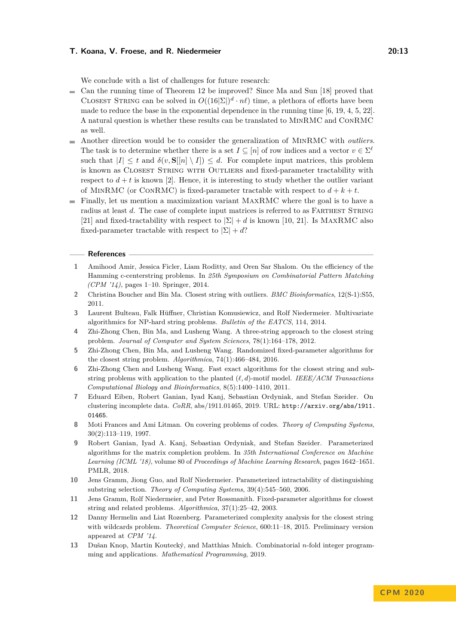We conclude with a list of challenges for future research:

- $\blacksquare$  Can the running time of Theorem [12](#page-10-0) be improved? Since Ma and Sun [\[18\]](#page-13-6) proved that CLOSEST STRING can be solved in  $O((16|\Sigma|)^d \cdot n\ell)$  time, a plethora of efforts have been made to reduce the base in the exponential dependence in the running time [\[6,](#page-12-8) [19,](#page-13-7) [4,](#page-12-9) [5,](#page-12-10) [22\]](#page-13-8). A natural question is whether these results can be translated to MinRMC and ConRMC as well.
- Another direction would be to consider the generalization of MinRMC with *outliers*. The task is to determine whether there is a set  $I \subseteq [n]$  of row indices and a vector  $v \in \Sigma^{\ell}$ such that  $|I| \leq t$  and  $\delta(v, \mathbf{S}[[n] \setminus I]) \leq d$ . For complete input matrices, this problem is known as CLOSEST STRING WITH OUTLIERS and fixed-parameter tractability with respect to  $d + t$  is known [\[2\]](#page-12-11). Hence, it is interesting to study whether the outlier variant of MINRMC (or CONRMC) is fixed-parameter tractable with respect to  $d + k + t$ .
- Finally, let us mention a maximization variant MaxRMC where the goal is to have a radius at least *d*. The case of complete input matrices is referred to as FARTHEST STRING [\[21\]](#page-13-9) and fixed-tractability with respect to  $|\Sigma| + d$  is known [\[10,](#page-12-12) [21\]](#page-13-9). Is MAXRMC also fixed-parameter tractable with respect to  $|\Sigma| + d$ ?

#### **References**

- <span id="page-12-6"></span>**1** Amihood Amir, Jessica Ficler, Liam Roditty, and Oren Sar Shalom. On the efficiency of the Hamming c-centerstring problems. In *25th Symposium on Combinatorial Pattern Matching (CPM '14)*, pages 1–10. Springer, 2014.
- <span id="page-12-11"></span>**2** Christina Boucher and Bin Ma. Closest string with outliers. *BMC Bioinformatics*, 12(S-1):S55, 2011.
- <span id="page-12-2"></span>**3** Laurent Bulteau, Falk Hüffner, Christian Komusiewicz, and Rolf Niedermeier. Multivariate algorithmics for NP-hard string problems. *Bulletin of the EATCS*, 114, 2014.
- <span id="page-12-9"></span>**4** Zhi-Zhong Chen, Bin Ma, and Lusheng Wang. A three-string approach to the closest string problem. *Journal of Computer and System Sciences*, 78(1):164–178, 2012.
- <span id="page-12-10"></span>**5** Zhi-Zhong Chen, Bin Ma, and Lusheng Wang. Randomized fixed-parameter algorithms for the closest string problem. *Algorithmica*, 74(1):466–484, 2016.
- <span id="page-12-8"></span>**6** Zhi-Zhong Chen and Lusheng Wang. Fast exact algorithms for the closest string and substring problems with application to the planted  $(\ell, d)$ -motif model. *IEEE/ACM Transactions Computational Biology and Bioinformatics*, 8(5):1400–1410, 2011.
- <span id="page-12-0"></span>**7** Eduard Eiben, Robert Ganian, Iyad Kanj, Sebastian Ordyniak, and Stefan Szeider. On clustering incomplete data. *CoRR*, abs/1911.01465, 2019. URL: [http://arxiv.org/abs/1911.](http://arxiv.org/abs/1911.01465) [01465](http://arxiv.org/abs/1911.01465).
- <span id="page-12-4"></span>**8** Moti Frances and Ami Litman. On covering problems of codes. *Theory of Computing Systems*, 30(2):113–119, 1997.
- <span id="page-12-1"></span>**9** Robert Ganian, Iyad A. Kanj, Sebastian Ordyniak, and Stefan Szeider. Parameterized algorithms for the matrix completion problem. In *35th International Conference on Machine Learning (ICML '18)*, volume 80 of *Proceedings of Machine Learning Research*, pages 1642–1651. PMLR, 2018.
- <span id="page-12-12"></span>**10** Jens Gramm, Jiong Guo, and Rolf Niedermeier. Parameterized intractability of distinguishing substring selection. *Theory of Computing Systems*, 39(4):545–560, 2006.
- <span id="page-12-7"></span>**11** Jens Gramm, Rolf Niedermeier, and Peter Rossmanith. Fixed-parameter algorithms for closest string and related problems. *Algorithmica*, 37(1):25–42, 2003.
- <span id="page-12-3"></span>**12** Danny Hermelin and Liat Rozenberg. Parameterized complexity analysis for the closest string with wildcards problem. *Theoretical Computer Science*, 600:11–18, 2015. Preliminary version appeared at *CPM '14*.
- <span id="page-12-5"></span>**13** Dušan Knop, Martin Koutecký, and Matthias Mnich. Combinatorial *n*-fold integer programming and applications. *Mathematical Programming*, 2019.